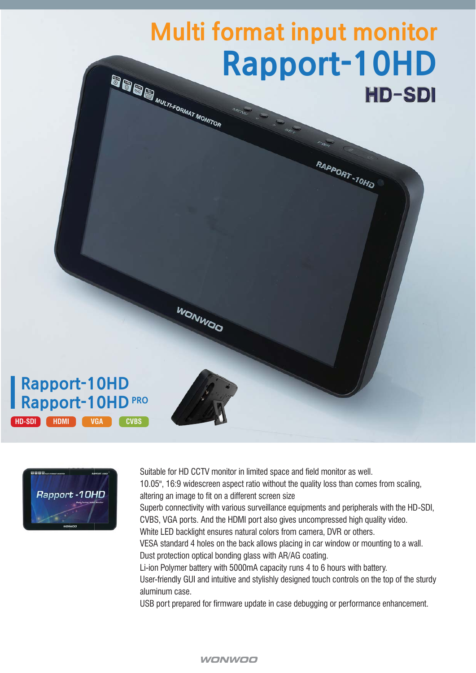# **Multi format input monitor Rapport-10HD**<br>HD-SDI **HD-SDI**

RAPPORT-10HD

# **Rapport-10HD** PRO **Rapport-10HD HD-SDI HDMI VGA CVBS**



Suitable for HD CCTV monitor in limited space and field monitor as well. 10.05", 16:9 widescreen aspect ratio without the quality loss than comes from scaling, altering an image to fit on a different screen size Superb connectivity with various surveillance equipments and peripherals with the HD-SDI, CVBS, VGA ports. And the HDMI port also gives uncompressed high quality video. White LED backlight ensures natural colors from camera, DVR or others. VESA standard 4 holes on the back allows placing in car window or mounting to a wall. Dust protection optical bonding glass with AR/AG coating. Li-ion Polymer battery with 5000mA capacity runs 4 to 6 hours with battery. User-friendly GUI and intuitive and stylishly designed touch controls on the top of the sturdy aluminum case. USB port prepared for firmware update in case debugging or performance enhancement.

WONWOO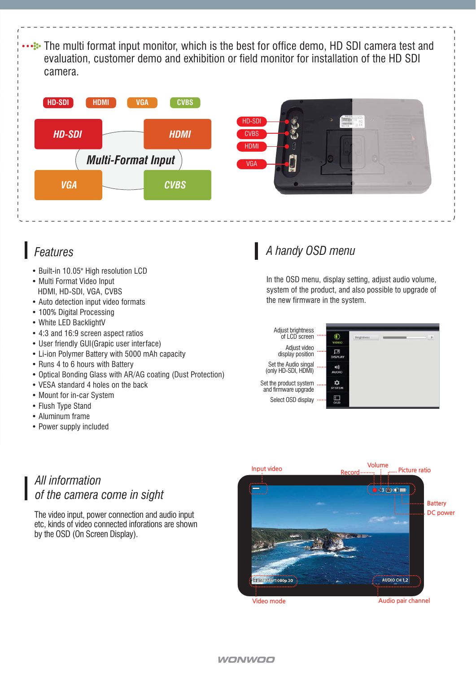**...** The multi format input monitor, which is the best for office demo, HD SDI camera test and evaluation, customer demo and exhibition or field monitor for installation of the HD SDI camera.





- Built-in 10.05" High resolution LCD
- Multi Format Video Input HDMI, HD-SDI, VGA, CVBS
- Auto detection input video formats
- 100% Digital Processing
- White LED BacklightV
- 4:3 and 16:9 screen aspect ratios
- User friendly GUI(Grapic user interface)
- Li-ion Polymer Battery with 5000 mAh capacity
- Runs 4 to 6 hours with Battery
- Optical Bonding Glass with AR/AG coating (Dust Protection)
- VESA standard 4 holes on the back
- Mount for in-car System
- Flush Type Stand
- Aluminum frame
- Power supply included

# *Features A handy OSD menu*

In the OSD menu, display setting, adjust audio volume, system of the product, and also possible to upgrade of the new firmware in the system.



### *All information of the camera come in sight*

The video input, power connection and audio input etc, kinds of video connected inforations are shown by the OSD (On Screen Display).



#### **WONWOO**